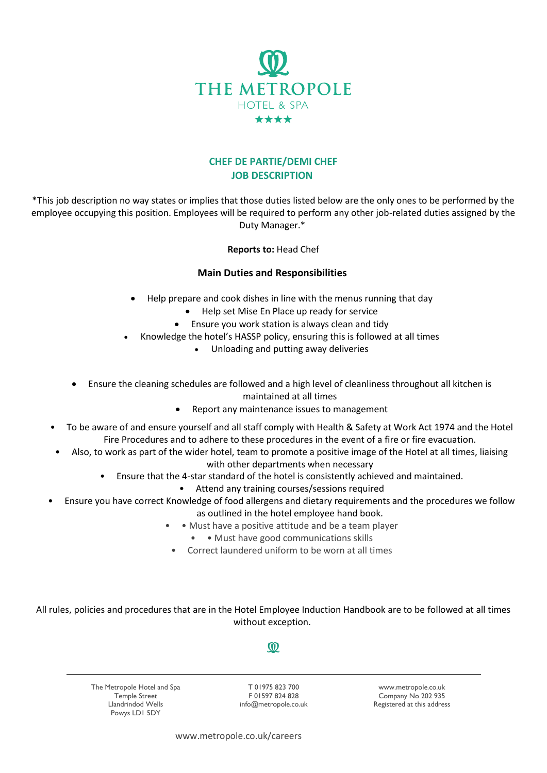

## **CHEF DE PARTIE/DEMI CHEF JOB DESCRIPTION**

\*This job description no way states or implies that those duties listed below are the only ones to be performed by the employee occupying this position. Employees will be required to perform any other job-related duties assigned by the Duty Manager.\*

## **Reports to:** Head Chef

## **Main Duties and Responsibilities**

- Help prepare and cook dishes in line with the menus running that day
	- Help set Mise En Place up ready for service
	- Ensure you work station is always clean and tidy
	- Knowledge the hotel's HASSP policy, ensuring this is followed at all times
		- Unloading and putting away deliveries
- Ensure the cleaning schedules are followed and a high level of cleanliness throughout all kitchen is maintained at all times
	- Report any maintenance issues to management
- To be aware of and ensure yourself and all staff comply with Health & Safety at Work Act 1974 and the Hotel Fire Procedures and to adhere to these procedures in the event of a fire or fire evacuation.
- Also, to work as part of the wider hotel, team to promote a positive image of the Hotel at all times, liaising with other departments when necessary
	- Ensure that the 4-star standard of the hotel is consistently achieved and maintained.
		- Attend any training courses/sessions required
- Ensure you have correct Knowledge of food allergens and dietary requirements and the procedures we follow as outlined in the hotel employee hand book.
	- Must have a positive attitude and be a team player
		- • Must have good communications skills
	- Correct laundered uniform to be worn at all times

All rules, policies and procedures that are in the Hotel Employee Induction Handbook are to be followed at all times without exception.

## $\omega$

The Metropole Hotel and Spa Temple Street Llandrindod Wells Powys LD1 5DY

T 01975 823 700 F 01597 824 828 info@metropole.co.uk

www.metropole.co.uk Company No 202 935 Registered at this address

www.metropole.co.uk/careers